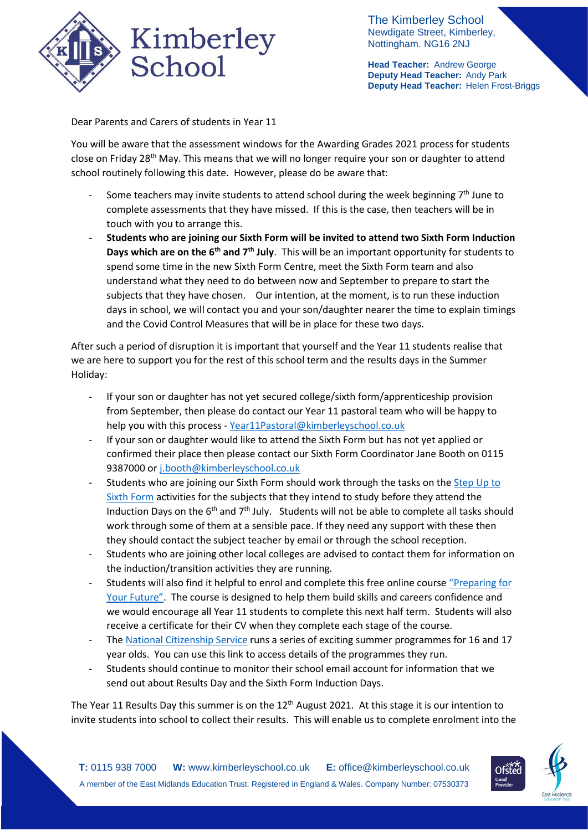

The Kimberley School Newdigate Street, Kimberley, Nottingham. NG16 2NJ

**Head Teacher:** Andrew George **Deputy Head Teacher:** Andy Park **Deputy Head Teacher:** Helen Frost-Briggs

Dear Parents and Carers of students in Year 11

You will be aware that the assessment windows for the Awarding Grades 2021 process for students close on Friday 28<sup>th</sup> May. This means that we will no longer require your son or daughter to attend school routinely following this date. However, please do be aware that:

- Some teachers may invite students to attend school during the week beginning  $7<sup>th</sup>$  June to complete assessments that they have missed. If this is the case, then teachers will be in touch with you to arrange this.
- **Students who are joining our Sixth Form will be invited to attend two Sixth Form Induction Days which are on the 6th and 7th July**. This will be an important opportunity for students to spend some time in the new Sixth Form Centre, meet the Sixth Form team and also understand what they need to do between now and September to prepare to start the subjects that they have chosen. Our intention, at the moment, is to run these induction days in school, we will contact you and your son/daughter nearer the time to explain timings and the Covid Control Measures that will be in place for these two days.

After such a period of disruption it is important that yourself and the Year 11 students realise that we are here to support you for the rest of this school term and the results days in the Summer Holiday:

- If your son or daughter has not yet secured college/sixth form/apprenticeship provision from September, then please do contact our Year 11 pastoral team who will be happy to help you with this process - [Year11Pastoral@kimberleyschool.co.uk](mailto:Year11Pastoral@kimberleyschool.co.uk)
- If your son or daughter would like to attend the Sixth Form but has not yet applied or confirmed their place then please contact our Sixth Form Coordinator Jane Booth on 0115 9387000 o[r j.booth@kimberleyschool.co.uk](mailto:j.booth@kimberleyschool.co.uk)
- Students who are joining our Sixth Form should work through the tasks on th[e Step Up to](https://www.kimberleyschool.co.uk/step-up-to-sixth-form)  [Sixth Form](https://www.kimberleyschool.co.uk/step-up-to-sixth-form) activities for the subjects that they intend to study before they attend the Induction Days on the  $6<sup>th</sup>$  and  $7<sup>th</sup>$  July. Students will not be able to complete all tasks should work through some of them at a sensible pace. If they need any support with these then they should contact the subject teacher by email or through the school reception.
- Students who are joining other local colleges are advised to contact them for information on the induction/transition activities they are running.
- Students will also find it helpful to enrol and complete this free online course ["Preparing for](https://www.youthemployment.org.uk/employment-help-young-people/choices/online-skills-and-careers-courses/preparing-for-your-future-online-course/)  [Your Future"](https://www.youthemployment.org.uk/employment-help-young-people/choices/online-skills-and-careers-courses/preparing-for-your-future-online-course/). The course is designed to help them build skills and careers confidence and we would encourage all Year 11 students to complete this next half term. Students will also receive a certificate for their CV when they complete each stage of the course.
- The [National Citizenship Service](https://wearencs.com/) runs a series of exciting summer programmes for 16 and 17 year olds. You can use this link to access details of the programmes they run.
- Students should continue to monitor their school email account for information that we send out about Results Day and the Sixth Form Induction Days.

The Year 11 Results Day this summer is on the 12<sup>th</sup> August 2021. At this stage it is our intention to invite students into school to collect their results. This will enable us to complete enrolment into the